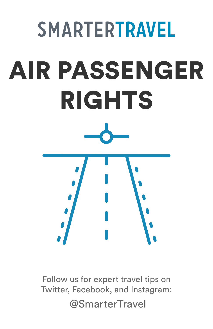# **SMARTERTRAVEL** AIR PASSENGER RIGHTS

Follow us for expert travel tips on Twitter, Facebook, and Instagram: @SmarterTravel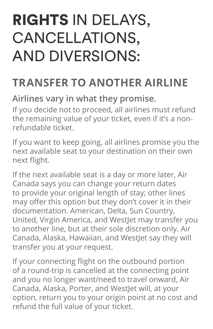## RIGHTS IN DELAYS, CANCELLATIONS, AND DIVERSIONS:

### **TRANSFER TO ANOTHER AIRLINE**

#### **Airlines vary in what they promise.**

If you decide not to proceed, all airlines must refund the remaining value of your ticket, even if it's a nonrefundable ticket.

If you want to keep going, all airlines promise you the next available seat to your destination on their own next flight.

If the next available seat is a day or more later, Air Canada says you can change your return dates to provide your original length of stay; other lines may offer this option but they don't cover it in their documentation. American, Delta, Sun Country, United, Virgin America, and WestJet may transfer you to another line, but at their sole discretion only. Air Canada, Alaska, Hawaiian, and Westlet say they will transfer you at your request.

If your connecting flight on the outbound portion of a round-trip is cancelled at the connecting point and you no longer want/need to travel onward, Air Canada, Alaska, Porter, and Westlet will, at your option, return you to your origin point at no cost and refund the full value of your ticket.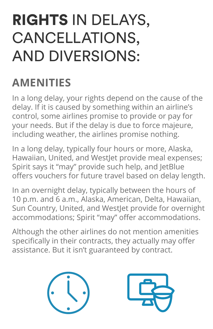## RIGHTS IN DELAYS, CANCELLATIONS, AND DIVERSIONS:

## **AMENITIES**

In a long delay, your rights depend on the cause of the delay. If it is caused by something within an airline's control, some airlines promise to provide or pay for your needs. But if the delay is due to force majeure, including weather, the airlines promise nothing.

In a long delay, typically four hours or more, Alaska, Hawaiian, United, and Westlet provide meal expenses: Spirit says it "may" provide such help, and JetBlue offers vouchers for future travel based on delay length.

In an overnight delay, typically between the hours of 10 p.m. and 6 a.m., Alaska, American, Delta, Hawaiian, Sun Country, United, and Westlet provide for overnight accommodations; Spirit "may" offer accommodations.

Although the other airlines do not mention amenities specifically in their contracts, they actually may offer assistance. But it isn't guaranteed by contract.



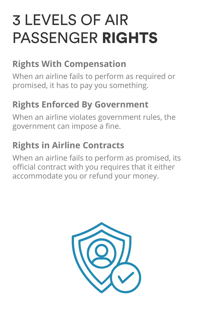## 3 LEVELS OF AIR PASSENGER RIGHTS

#### **Rights With Compensation**

When an airline fails to perform as required or promised, it has to pay you something.

#### **Rights Enforced By Government**

When an airline violates government rules, the government can impose a fine.

#### **Rights in Airline Contracts**

When an airline fails to perform as promised, its official contract with you requires that it either accommodate you or refund your money.

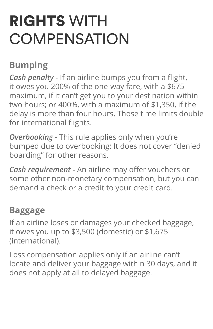## RIGHTS WITH **COMPENSATION**

#### **Bumping**

*Cash penalty -* If an airline bumps you from a flight, it owes you 200% of the one-way fare, with a \$675 maximum, if it can't get you to your destination within two hours; or 400%, with a maximum of \$1,350, if the delay is more than four hours. Those time limits double for international flights.

*Overbooking -* This rule applies only when you're bumped due to overbooking: It does not cover "denied boarding" for other reasons.

*Cash requirement -* An airline may offer vouchers or some other non-monetary compensation, but you can demand a check or a credit to your credit card.

#### **Baggage**

If an airline loses or damages your checked baggage, it owes you up to \$3,500 (domestic) or \$1,675 (international).

Loss compensation applies only if an airline can't locate and deliver your baggage within 30 days, and it does not apply at all to delayed baggage.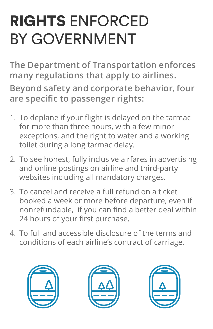# RIGHTS ENFORCED BY GOVERNMENT

**The Department of Transportation enforces many regulations that apply to airlines. Beyond safety and corporate behavior, four are specific to passenger rights:**

- 1. To deplane if your flight is delayed on the tarmac for more than three hours, with a few minor exceptions, and the right to water and a working toilet during a long tarmac delay.
- 2. To see honest, fully inclusive airfares in advertising and online postings on airline and third-party websites including all mandatory charges.
- 3. To cancel and receive a full refund on a ticket booked a week or more before departure, even if nonrefundable, if you can find a better deal within 24 hours of your first purchase.
- 4. To full and accessible disclosure of the terms and conditions of each airline's contract of carriage.





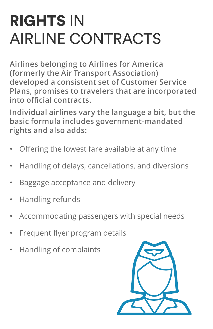## RIGHTS IN AIRLINE CONTRACTS

**Airlines belonging to Airlines for America (formerly the Air Transport Association) developed a consistent set of Customer Service Plans, promises to travelers that are incorporated into official contracts.** 

**Individual airlines vary the language a bit, but the basic formula includes government-mandated rights and also adds:** 

- Offering the lowest fare available at any time
- Handling of delays, cancellations, and diversions
- Baggage acceptance and delivery
- Handling refunds
- Accommodating passengers with special needs
- Frequent flyer program details
- Handling of complaints